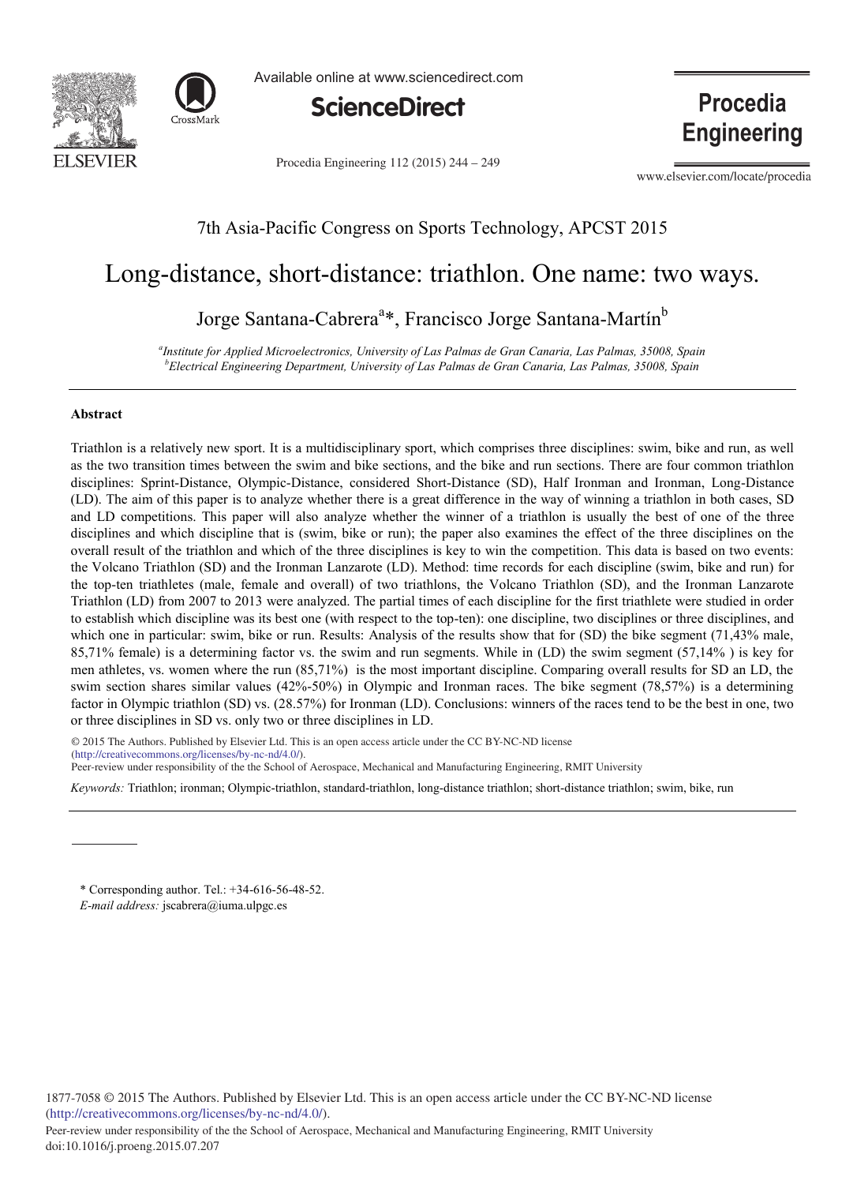



Available online at www.sciencedirect.com



Procedia Engineering 112 (2015) 244 - 249

**Procedia Engineering** 

www.elsevier.com/locate/procedia

## 7th Asia-Pacific Congress on Sports Technology, APCST 2015

# Long-distance, short-distance: triathlon. One name: two ways.

Jorge Santana-Cabrera<sup>a</sup>\*, Francisco Jorge Santana-Martín<sup>b</sup>

*a Institute for Applied Microelectronics, University of Las Palmas de Gran Canaria, Las Palmas, 35008, Spain b Electrical Engineering Department, University of Las Palmas de Gran Canaria, Las Palmas, 35008, Spain*

#### **Abstract**

Triathlon is a relatively new sport. It is a multidisciplinary sport, which comprises three disciplines: swim, bike and run, as well as the two transition times between the swim and bike sections, and the bike and run sections. There are four common triathlon disciplines: Sprint-Distance, Olympic-Distance, considered Short-Distance (SD), Half Ironman and Ironman, Long-Distance (LD). The aim of this paper is to analyze whether there is a great difference in the way of winning a triathlon in both cases, SD and LD competitions. This paper will also analyze whether the winner of a triathlon is usually the best of one of the three disciplines and which discipline that is (swim, bike or run); the paper also examines the effect of the three disciplines on the overall result of the triathlon and which of the three disciplines is key to win the competition. This data is based on two events: the Volcano Triathlon (SD) and the Ironman Lanzarote (LD). Method: time records for each discipline (swim, bike and run) for the top-ten triathletes (male, female and overall) of two triathlons, the Volcano Triathlon (SD), and the Ironman Lanzarote Triathlon (LD) from 2007 to 2013 were analyzed. The partial times of each discipline for the first triathlete were studied in order to establish which discipline was its best one (with respect to the top-ten): one discipline, two disciplines or three disciplines, and which one in particular: swim, bike or run. Results: Analysis of the results show that for (SD) the bike segment (71,43% male, 85,71% female) is a determining factor vs. the swim and run segments. While in (LD) the swim segment (57,14% ) is key for men athletes, vs. women where the run (85,71%) is the most important discipline. Comparing overall results for SD an LD, the swim section shares similar values (42%-50%) in Olympic and Ironman races. The bike segment (78,57%) is a determining factor in Olympic triathlon (SD) vs. (28.57%) for Ironman (LD). Conclusions: winners of the races tend to be the best in one, two or three disciplines in SD vs. only two or three disciplines in LD.

© 2015 The Authors. Published by Elsevier Ltd. © 2015 The Authors. Published by Elsevier Ltd. This is an open access article under the CC BY-NC-ND license (http://creativecommons.org/licenses/by-nc-nd/4.0/).

Peer-review under responsibility of the the School of Aerospace, Mechanical and Manufacturing Engineering, RMIT University

*Keywords:* Triathlon; ironman; Olympic-triathlon, standard-triathlon, long-distance triathlon; short-distance triathlon; swim, bike, run

1877-7058 © 2015 The Authors. Published by Elsevier Ltd. This is an open access article under the CC BY-NC-ND license (http://creativecommons.org/licenses/by-nc-nd/4.0/).

<sup>\*</sup> Corresponding author. Tel.: +34-616-56-48-52.

*E-mail address:* jscabrera@iuma.ulpgc.es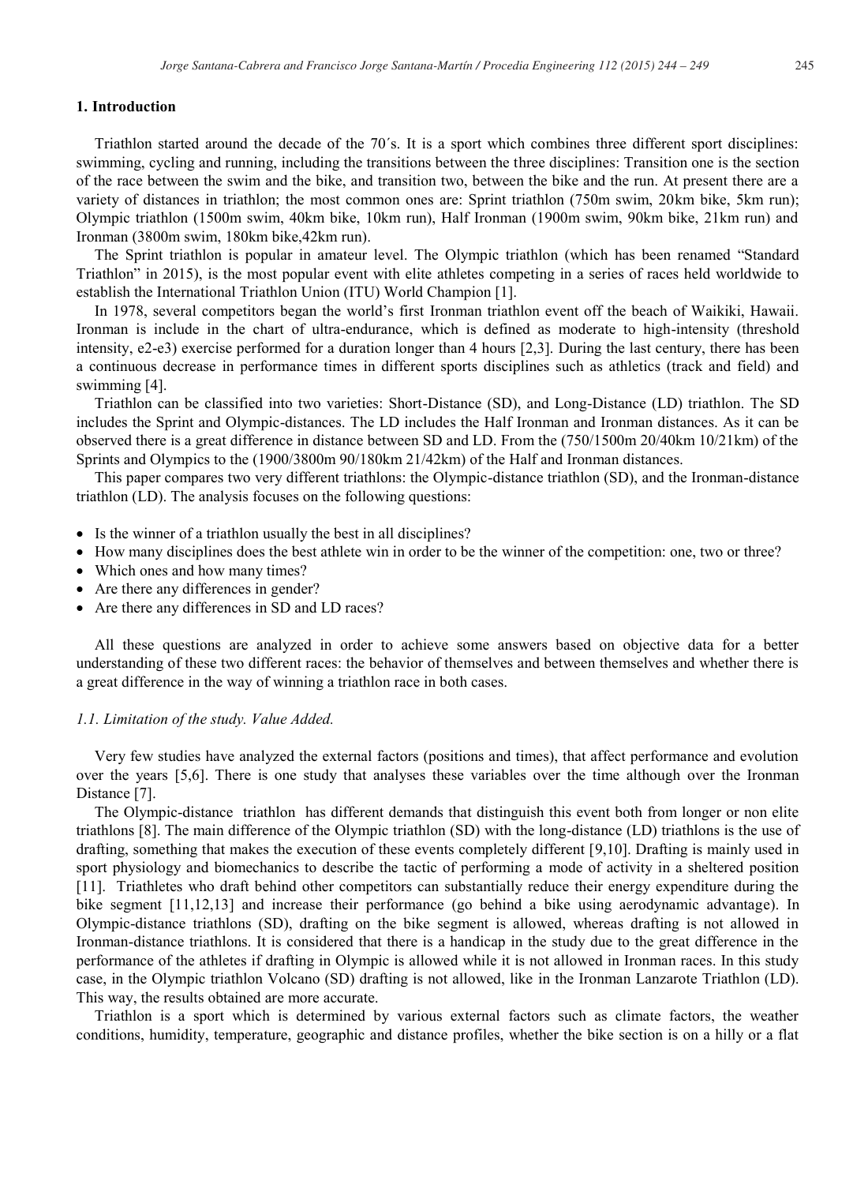#### **1. Introduction**

Triathlon started around the decade of the 70´s. It is a sport which combines three different sport disciplines: swimming, cycling and running, including the transitions between the three disciplines: Transition one is the section of the race between the swim and the bike, and transition two, between the bike and the run. At present there are a variety of distances in triathlon; the most common ones are: Sprint triathlon (750m swim, 20km bike, 5km run); Olympic triathlon (1500m swim, 40km bike, 10km run), Half Ironman (1900m swim, 90km bike, 21km run) and Ironman (3800m swim, 180km bike,42km run).

The Sprint triathlon is popular in amateur level. The Olympic triathlon (which has been renamed "Standard Triathlon" in 2015), is the most popular event with elite athletes competing in a series of races held worldwide to establish the International Triathlon Union (ITU) World Champion [1].

In 1978, several competitors began the world's first Ironman triathlon event off the beach of Waikiki, Hawaii. Ironman is include in the chart of ultra-endurance, which is defined as moderate to high-intensity (threshold intensity, e2-e3) exercise performed for a duration longer than 4 hours [2,3]. During the last century, there has been a continuous decrease in performance times in different sports disciplines such as athletics (track and field) and swimming [4].

Triathlon can be classified into two varieties: Short-Distance (SD), and Long-Distance (LD) triathlon. The SD includes the Sprint and Olympic-distances. The LD includes the Half Ironman and Ironman distances. As it can be observed there is a great difference in distance between SD and LD. From the (750/1500m 20/40km 10/21km) of the Sprints and Olympics to the (1900/3800m 90/180km 21/42km) of the Half and Ironman distances.

This paper compares two very different triathlons: the Olympic-distance triathlon (SD), and the Ironman-distance triathlon (LD). The analysis focuses on the following questions:

- Is the winner of a triathlon usually the best in all disciplines?
- How many disciplines does the best athlete win in order to be the winner of the competition: one, two or three?
- Which ones and how many times?
- Are there any differences in gender?
- Are there any differences in SD and LD races?

All these questions are analyzed in order to achieve some answers based on objective data for a better understanding of these two different races: the behavior of themselves and between themselves and whether there is a great difference in the way of winning a triathlon race in both cases.

#### *1.1. Limitation of the study. Value Added.*

Very few studies have analyzed the external factors (positions and times), that affect performance and evolution over the years [5,6]. There is one study that analyses these variables over the time although over the Ironman Distance [7].

The Olympic-distance triathlon has different demands that distinguish this event both from longer or non elite triathlons [8]. The main difference of the Olympic triathlon (SD) with the long-distance (LD) triathlons is the use of drafting, something that makes the execution of these events completely different [9,10]. Drafting is mainly used in sport physiology and biomechanics to describe the tactic of performing a mode of activity in a sheltered position [11]. Triathletes who draft behind other competitors can substantially reduce their energy expenditure during the bike segment [11,12,13] and increase their performance (go behind a bike using aerodynamic advantage). In Olympic-distance triathlons (SD), drafting on the bike segment is allowed, whereas drafting is not allowed in Ironman-distance triathlons. It is considered that there is a handicap in the study due to the great difference in the performance of the athletes if drafting in Olympic is allowed while it is not allowed in Ironman races. In this study case, in the Olympic triathlon Volcano (SD) drafting is not allowed, like in the Ironman Lanzarote Triathlon (LD). This way, the results obtained are more accurate.

Triathlon is a sport which is determined by various external factors such as climate factors, the weather conditions, humidity, temperature, geographic and distance profiles, whether the bike section is on a hilly or a flat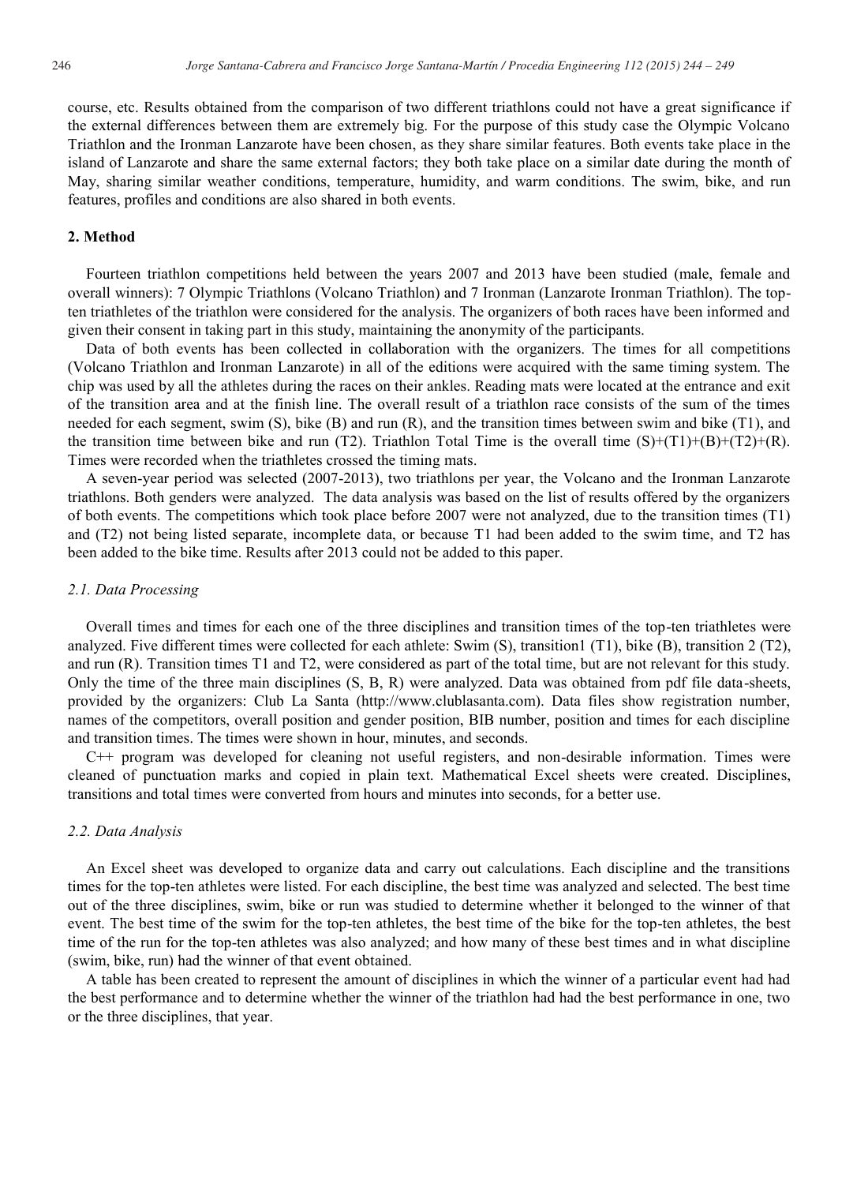course, etc. Results obtained from the comparison of two different triathlons could not have a great significance if the external differences between them are extremely big. For the purpose of this study case the Olympic Volcano Triathlon and the Ironman Lanzarote have been chosen, as they share similar features. Both events take place in the island of Lanzarote and share the same external factors; they both take place on a similar date during the month of May, sharing similar weather conditions, temperature, humidity, and warm conditions. The swim, bike, and run features, profiles and conditions are also shared in both events.

#### **2. Method**

Fourteen triathlon competitions held between the years 2007 and 2013 have been studied (male, female and overall winners): 7 Olympic Triathlons (Volcano Triathlon) and 7 Ironman (Lanzarote Ironman Triathlon). The topten triathletes of the triathlon were considered for the analysis. The organizers of both races have been informed and given their consent in taking part in this study, maintaining the anonymity of the participants.

Data of both events has been collected in collaboration with the organizers. The times for all competitions (Volcano Triathlon and Ironman Lanzarote) in all of the editions were acquired with the same timing system. The chip was used by all the athletes during the races on their ankles. Reading mats were located at the entrance and exit of the transition area and at the finish line. The overall result of a triathlon race consists of the sum of the times needed for each segment, swim  $(S)$ , bike  $(B)$  and run  $(R)$ , and the transition times between swim and bike  $(T1)$ , and the transition time between bike and run (T2). Triathlon Total Time is the overall time  $(S)+(T1)+(B)+(T2)+(R)$ . Times were recorded when the triathletes crossed the timing mats.

A seven-year period was selected (2007-2013), two triathlons per year, the Volcano and the Ironman Lanzarote triathlons. Both genders were analyzed. The data analysis was based on the list of results offered by the organizers of both events. The competitions which took place before 2007 were not analyzed, due to the transition times (T1) and (T2) not being listed separate, incomplete data, or because T1 had been added to the swim time, and T2 has been added to the bike time. Results after 2013 could not be added to this paper.

#### *2.1. Data Processing*

Overall times and times for each one of the three disciplines and transition times of the top-ten triathletes were analyzed. Five different times were collected for each athlete: Swim  $(S)$ , transition1  $(T1)$ , bike  $(B)$ , transition 2  $(T2)$ , and run (R). Transition times T1 and T2, were considered as part of the total time, but are not relevant for this study. Only the time of the three main disciplines (S, B, R) were analyzed. Data was obtained from pdf file data-sheets, provided by the organizers: Club La Santa (http://www.clublasanta.com). Data files show registration number, names of the competitors, overall position and gender position, BIB number, position and times for each discipline and transition times. The times were shown in hour, minutes, and seconds.

C++ program was developed for cleaning not useful registers, and non-desirable information. Times were cleaned of punctuation marks and copied in plain text. Mathematical Excel sheets were created. Disciplines, transitions and total times were converted from hours and minutes into seconds, for a better use.

#### *2.2. Data Analysis*

An Excel sheet was developed to organize data and carry out calculations. Each discipline and the transitions times for the top-ten athletes were listed. For each discipline, the best time was analyzed and selected. The best time out of the three disciplines, swim, bike or run was studied to determine whether it belonged to the winner of that event. The best time of the swim for the top-ten athletes, the best time of the bike for the top-ten athletes, the best time of the run for the top-ten athletes was also analyzed; and how many of these best times and in what discipline (swim, bike, run) had the winner of that event obtained.

A table has been created to represent the amount of disciplines in which the winner of a particular event had had the best performance and to determine whether the winner of the triathlon had had the best performance in one, two or the three disciplines, that year.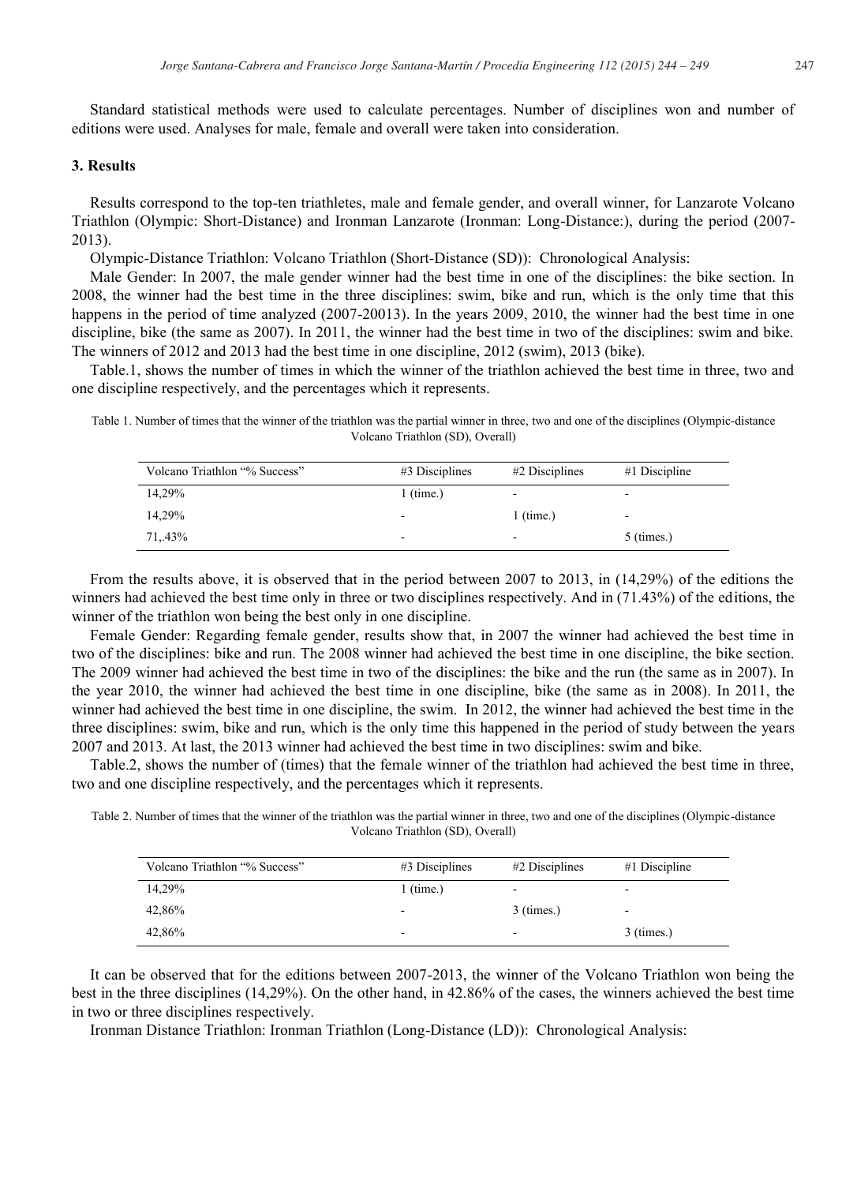Standard statistical methods were used to calculate percentages. Number of disciplines won and number of editions were used. Analyses for male, female and overall were taken into consideration.

### **3. Results**

Results correspond to the top-ten triathletes, male and female gender, and overall winner, for Lanzarote Volcano Triathlon (Olympic: Short-Distance) and Ironman Lanzarote (Ironman: Long-Distance:), during the period (2007- 2013).

Olympic-Distance Triathlon: Volcano Triathlon (Short-Distance (SD)): Chronological Analysis:

Male Gender: In 2007, the male gender winner had the best time in one of the disciplines: the bike section. In 2008, the winner had the best time in the three disciplines: swim, bike and run, which is the only time that this happens in the period of time analyzed (2007-20013). In the years 2009, 2010, the winner had the best time in one discipline, bike (the same as 2007). In 2011, the winner had the best time in two of the disciplines: swim and bike. The winners of 2012 and 2013 had the best time in one discipline, 2012 (swim), 2013 (bike).

Table.1, shows the number of times in which the winner of the triathlon achieved the best time in three, two and one discipline respectively, and the percentages which it represents.

Table 1. Number of times that the winner of the triathlon was the partial winner in three, two and one of the disciplines (Olympic-distance Volcano Triathlon (SD), Overall)

| Volcano Triathlon "% Success" | #3 Disciplines | #2 Disciplines           | $#1$ Discipline          |
|-------------------------------|----------------|--------------------------|--------------------------|
| 14,29%                        | $1$ (time.)    | $\overline{\phantom{0}}$ | -                        |
| 14.29%                        | -              | $1$ (time.)              | $\overline{\phantom{a}}$ |
| 71.43%                        | -              | ۰                        | $5$ (times.)             |

From the results above, it is observed that in the period between 2007 to 2013, in (14,29%) of the editions the winners had achieved the best time only in three or two disciplines respectively. And in (71.43%) of the editions, the winner of the triathlon won being the best only in one discipline.

Female Gender: Regarding female gender, results show that, in 2007 the winner had achieved the best time in two of the disciplines: bike and run. The 2008 winner had achieved the best time in one discipline, the bike section. The 2009 winner had achieved the best time in two of the disciplines: the bike and the run (the same as in 2007). In the year 2010, the winner had achieved the best time in one discipline, bike (the same as in 2008). In 2011, the winner had achieved the best time in one discipline, the swim. In 2012, the winner had achieved the best time in the three disciplines: swim, bike and run, which is the only time this happened in the period of study between the years 2007 and 2013. At last, the 2013 winner had achieved the best time in two disciplines: swim and bike.

Table.2, shows the number of (times) that the female winner of the triathlon had achieved the best time in three, two and one discipline respectively, and the percentages which it represents.

Table 2. Number of times that the winner of the triathlon was the partial winner in three, two and one of the disciplines (Olympic-distance Volcano Triathlon (SD), Overall)

| Volcano Triathlon "% Success" | #3 Disciplines | #2 Disciplines | $#1$ Discipline          |
|-------------------------------|----------------|----------------|--------------------------|
| 14.29%                        | $1$ (time.)    | -              | -                        |
| 42.86%                        | -              | $3$ (times.)   | $\overline{\phantom{0}}$ |
| 42,86%                        | -              | -              | $3$ (times.)             |

It can be observed that for the editions between 2007-2013, the winner of the Volcano Triathlon won being the best in the three disciplines (14,29%). On the other hand, in 42.86% of the cases, the winners achieved the best time in two or three disciplines respectively.

Ironman Distance Triathlon: Ironman Triathlon (Long-Distance (LD)): Chronological Analysis: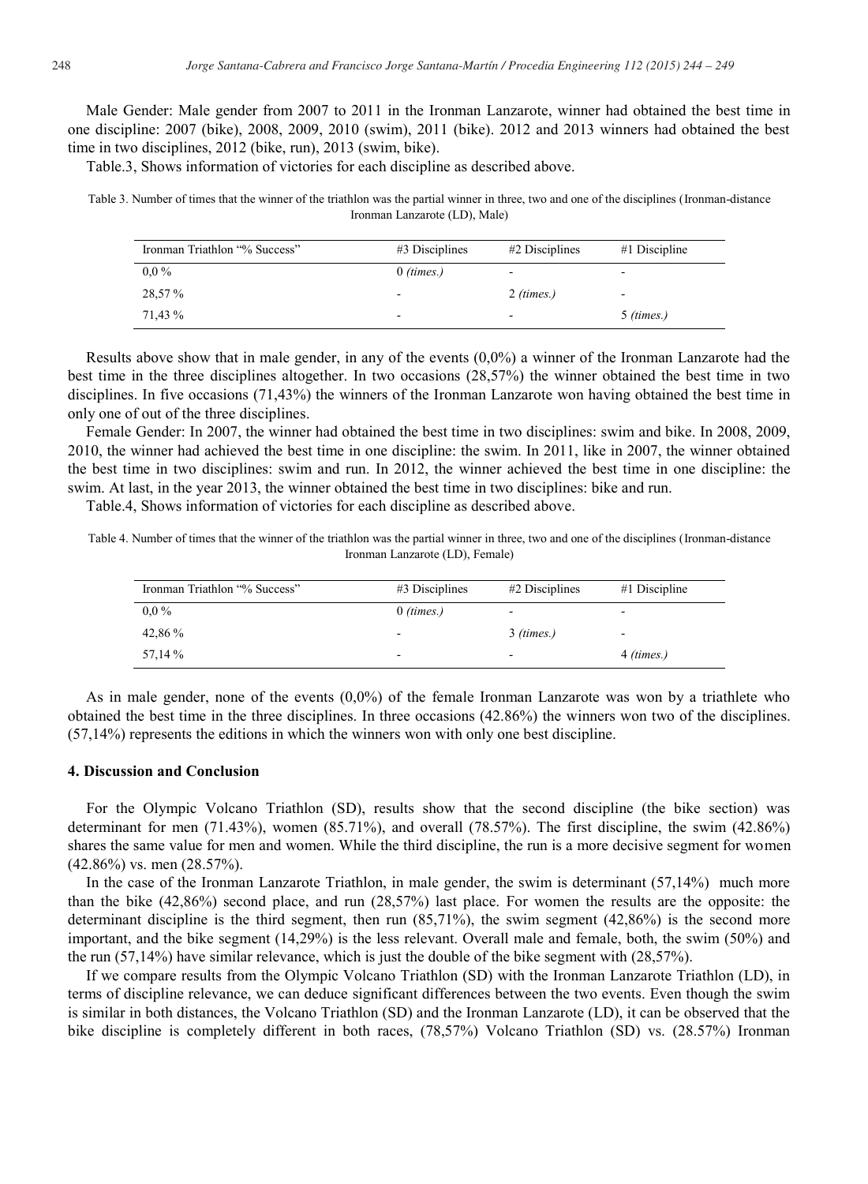Male Gender: Male gender from 2007 to 2011 in the Ironman Lanzarote, winner had obtained the best time in one discipline: 2007 (bike), 2008, 2009, 2010 (swim), 2011 (bike). 2012 and 2013 winners had obtained the best time in two disciplines, 2012 (bike, run), 2013 (swim, bike).

Table.3, Shows information of victories for each discipline as described above.

Table 3. Number of times that the winner of the triathlon was the partial winner in three, two and one of the disciplines (Ironman-distance Ironman Lanzarote (LD), Male)

| Ironman Triathlon "% Success" | #3 Disciplines | #2 Disciplines           | $#1$ Discipline |
|-------------------------------|----------------|--------------------------|-----------------|
| $0.0\%$                       | $0$ (times.)   | $\overline{\phantom{0}}$ | -               |
| 28,57 %                       | -              | $2 \ (times.)$           | -               |
| 71,43 %                       | -              | $\overline{\phantom{0}}$ | $5 \ (times.)$  |

Results above show that in male gender, in any of the events (0,0%) a winner of the Ironman Lanzarote had the best time in the three disciplines altogether. In two occasions (28,57%) the winner obtained the best time in two disciplines. In five occasions (71,43%) the winners of the Ironman Lanzarote won having obtained the best time in only one of out of the three disciplines.

Female Gender: In 2007, the winner had obtained the best time in two disciplines: swim and bike. In 2008, 2009, 2010, the winner had achieved the best time in one discipline: the swim. In 2011, like in 2007, the winner obtained the best time in two disciplines: swim and run. In 2012, the winner achieved the best time in one discipline: the swim. At last, in the year 2013, the winner obtained the best time in two disciplines: bike and run.

Table.4, Shows information of victories for each discipline as described above.

Table 4. Number of times that the winner of the triathlon was the partial winner in three, two and one of the disciplines (Ironman-distance Ironman Lanzarote (LD), Female)

| Ironman Triathlon "% Success" | #3 Disciplines | #2 Disciplines | $#1$ Discipline |
|-------------------------------|----------------|----------------|-----------------|
| $0.0\%$                       | $0$ (times.)   | -              | -               |
| 42,86 %                       | -              | $3 \ (times.)$ | -               |
| 57.14 %                       | -              | -              | $4 \ (times.)$  |

As in male gender, none of the events (0,0%) of the female Ironman Lanzarote was won by a triathlete who obtained the best time in the three disciplines. In three occasions (42.86%) the winners won two of the disciplines. (57,14%) represents the editions in which the winners won with only one best discipline.

#### **4. Discussion and Conclusion**

For the Olympic Volcano Triathlon (SD), results show that the second discipline (the bike section) was determinant for men (71.43%), women (85.71%), and overall (78.57%). The first discipline, the swim (42.86%) shares the same value for men and women. While the third discipline, the run is a more decisive segment for women (42.86%) vs. men (28.57%).

In the case of the Ironman Lanzarote Triathlon, in male gender, the swim is determinant (57,14%) much more than the bike (42,86%) second place, and run (28,57%) last place. For women the results are the opposite: the determinant discipline is the third segment, then run (85,71%), the swim segment (42,86%) is the second more important, and the bike segment (14,29%) is the less relevant. Overall male and female, both, the swim (50%) and the run (57,14%) have similar relevance, which is just the double of the bike segment with (28,57%).

If we compare results from the Olympic Volcano Triathlon (SD) with the Ironman Lanzarote Triathlon (LD), in terms of discipline relevance, we can deduce significant differences between the two events. Even though the swim is similar in both distances, the Volcano Triathlon (SD) and the Ironman Lanzarote (LD), it can be observed that the bike discipline is completely different in both races, (78,57%) Volcano Triathlon (SD) vs. (28.57%) Ironman